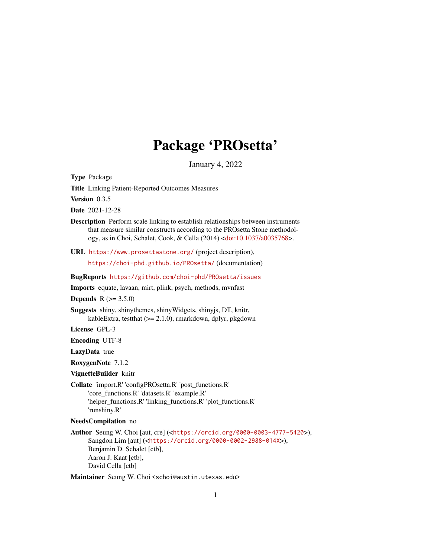# Package 'PROsetta'

January 4, 2022

<span id="page-0-0"></span>Type Package

Title Linking Patient-Reported Outcomes Measures

Version 0.3.5

Date 2021-12-28

Description Perform scale linking to establish relationships between instruments that measure similar constructs according to the PROsetta Stone methodology, as in Choi, Schalet, Cook, & Cella (2014) [<doi:10.1037/a0035768>](https://doi.org/10.1037/a0035768).

URL <https://www.prosettastone.org/> (project description),

<https://choi-phd.github.io/PROsetta/> (documentation)

BugReports <https://github.com/choi-phd/PROsetta/issues>

Imports equate, lavaan, mirt, plink, psych, methods, mvnfast

**Depends**  $R (= 3.5.0)$ 

Suggests shiny, shinythemes, shinyWidgets, shinyjs, DT, knitr, kableExtra, testthat (>= 2.1.0), rmarkdown, dplyr, pkgdown

License GPL-3

Encoding UTF-8

LazyData true

RoxygenNote 7.1.2

VignetteBuilder knitr

Collate 'import.R' 'configPROsetta.R' 'post\_functions.R' 'core\_functions.R' 'datasets.R' 'example.R' 'helper\_functions.R' 'linking\_functions.R' 'plot\_functions.R' 'runshiny.R'

#### NeedsCompilation no

Author Seung W. Choi [aut, cre] (<<https://orcid.org/0000-0003-4777-5420>>), Sangdon Lim [aut] (<<https://orcid.org/0000-0002-2988-014X>>), Benjamin D. Schalet [ctb], Aaron J. Kaat [ctb], David Cella [ctb]

Maintainer Seung W. Choi <schoi@austin.utexas.edu>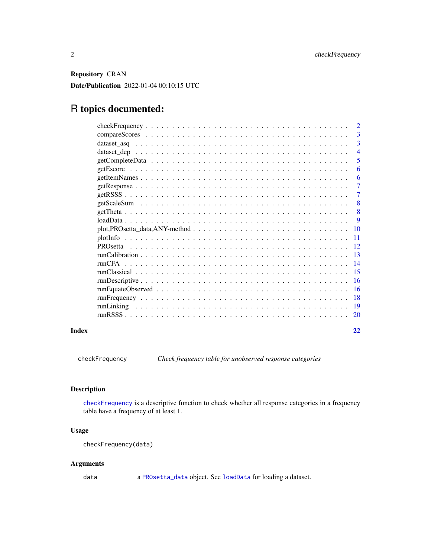<span id="page-1-0"></span>Repository CRAN Date/Publication 2022-01-04 00:10:15 UTC

# R topics documented:

|       | $\overline{2}$ |
|-------|----------------|
|       | -3             |
|       | $\overline{3}$ |
|       | $\overline{4}$ |
|       | -5             |
|       | 6              |
|       | -6             |
|       | -7             |
|       | $\overline{7}$ |
|       | -8             |
|       | -8             |
|       | - 9            |
|       |                |
|       |                |
|       |                |
|       |                |
|       |                |
|       |                |
|       |                |
|       |                |
|       |                |
|       |                |
|       |                |
| Index | 22             |

<span id="page-1-1"></span>checkFrequency *Check frequency table for unobserved response categories*

# Description

[checkFrequency](#page-1-1) is a descriptive function to check whether all response categories in a frequency table have a frequency of at least 1.

# Usage

```
checkFrequency(data)
```
# Arguments

data a [PROsetta\\_data](#page-8-1) object. See [loadData](#page-8-2) for loading a dataset.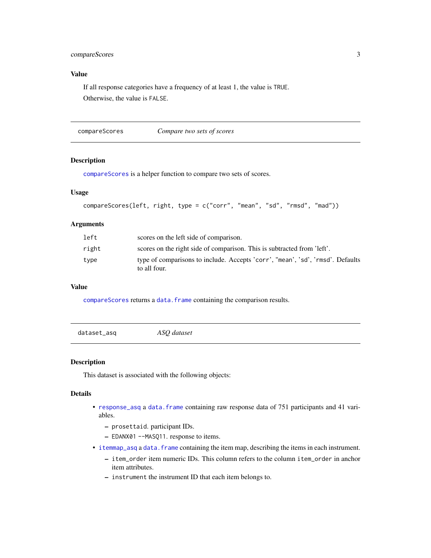# <span id="page-2-0"></span>compareScores 3

# Value

If all response categories have a frequency of at least 1, the value is TRUE. Otherwise, the value is FALSE.

<span id="page-2-1"></span>compareScores *Compare two sets of scores*

#### Description

[compareScores](#page-2-1) is a helper function to compare two sets of scores.

#### Usage

```
compareScores(left, right, type = c("corr", "mean", "sd", "rmsd", "mad"))
```
# Arguments

| left  | scores on the left side of comparison.                                                         |
|-------|------------------------------------------------------------------------------------------------|
| right | scores on the right side of comparison. This is subtracted from 'left'.                        |
| type  | type of comparisons to include. Accepts 'corr', "mean', 'sd', 'rmsd'. Defaults<br>to all four. |

#### Value

[compareScores](#page-2-1) returns a [data.frame](#page-0-0) containing the comparison results.

dataset\_asq *ASQ dataset*

#### <span id="page-2-2"></span>Description

This dataset is associated with the following objects:

#### Details

- [response\\_asq](#page-2-2) a [data.frame](#page-0-0) containing raw response data of 751 participants and 41 variables.
	- prosettaid. participant IDs.
	- EDANX01 --MASQ11. response to items.
- [itemmap\\_asq](#page-2-2) a data. frame containing the item map, describing the items in each instrument.
	- item\_order item numeric IDs. This column refers to the column item\_order in anchor item attributes.
	- instrument the instrument ID that each item belongs to.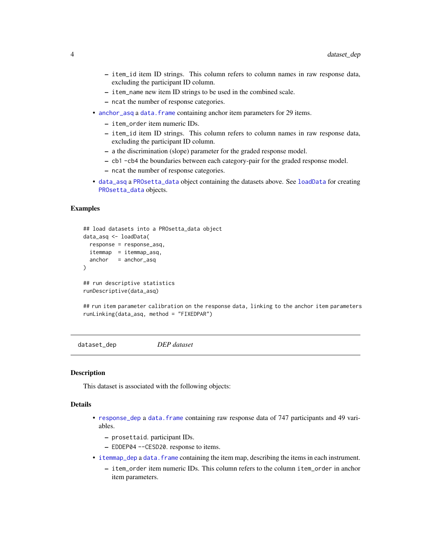- <span id="page-3-0"></span>– item\_id item ID strings. This column refers to column names in raw response data, excluding the participant ID column.
- item\_name new item ID strings to be used in the combined scale.
- ncat the number of response categories.
- [anchor\\_asq](#page-2-2) a data. frame containing anchor item parameters for 29 items.
	- item\_order item numeric IDs.
	- item\_id item ID strings. This column refers to column names in raw response data, excluding the participant ID column.
	- a the discrimination (slope) parameter for the graded response model.
	- cb1 -cb4 the boundaries between each category-pair for the graded response model.
	- ncat the number of response categories.
- [data\\_asq](#page-2-2) a [PROsetta\\_data](#page-8-1) object containing the datasets above. See [loadData](#page-8-2) for creating [PROsetta\\_data](#page-8-1) objects.

```
## load datasets into a PROsetta_data object
data_asq <- loadData(
 response = response_asq,
 itemmap = itemmap_asq,
 anchor = anchor_asq
)
## run descriptive statistics
runDescriptive(data_asq)
```
## run item parameter calibration on the response data, linking to the anchor item parameters runLinking(data\_asq, method = "FIXEDPAR")

dataset\_dep *DEP dataset*

#### <span id="page-3-1"></span>**Description**

This dataset is associated with the following objects:

#### Details

• [response\\_dep](#page-3-1) a [data.frame](#page-0-0) containing raw response data of 747 participants and 49 variables.

– prosettaid. participant IDs.

- EDDEP04 --CESD20. response to items.
- [itemmap\\_dep](#page-3-1) a [data.frame](#page-0-0) containing the item map, describing the items in each instrument.
	- item\_order item numeric IDs. This column refers to the column item\_order in anchor item parameters.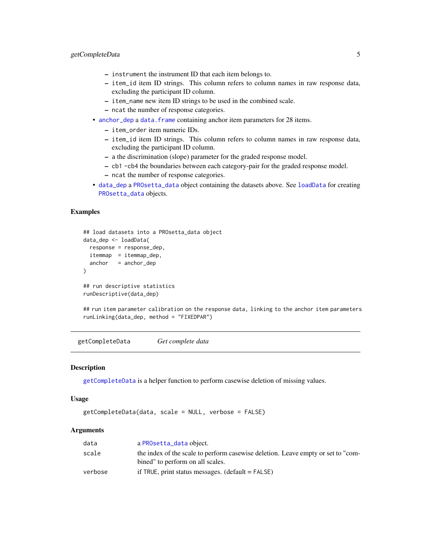- <span id="page-4-0"></span>– instrument the instrument ID that each item belongs to.
- item\_id item ID strings. This column refers to column names in raw response data, excluding the participant ID column.
- item\_name new item ID strings to be used in the combined scale.
- ncat the number of response categories.
- [anchor\\_dep](#page-3-1) a data. frame containing anchor item parameters for 28 items.
	- item\_order item numeric IDs.
	- item\_id item ID strings. This column refers to column names in raw response data, excluding the participant ID column.
	- a the discrimination (slope) parameter for the graded response model.
	- cb1 -cb4 the boundaries between each category-pair for the graded response model.
	- ncat the number of response categories.
- [data\\_dep](#page-3-1) a [PROsetta\\_data](#page-8-1) object containing the datasets above. See [loadData](#page-8-2) for creating [PROsetta\\_data](#page-8-1) objects.

```
## load datasets into a PROsetta_data object
data_dep <- loadData(
 response = response_dep,
 itemmap = itemmap_dep,
 anchor = anchor_dep
\mathcal{L}## run descriptive statistics
runDescriptive(data_dep)
```
## run item parameter calibration on the response data, linking to the anchor item parameters runLinking(data\_dep, method = "FIXEDPAR")

<span id="page-4-1"></span>getCompleteData *Get complete data*

### Description

[getCompleteData](#page-4-1) is a helper function to perform casewise deletion of missing values.

#### Usage

```
getCompleteData(data, scale = NULL, verbose = FALSE)
```
#### Arguments

| data    | a PROsetta_data object.                                                          |
|---------|----------------------------------------------------------------------------------|
| scale   | the index of the scale to perform casewise deletion. Leave empty or set to "com- |
|         | bined" to perform on all scales.                                                 |
| verbose | if $TRUE$ , print status messages. (default = $FALSE$ )                          |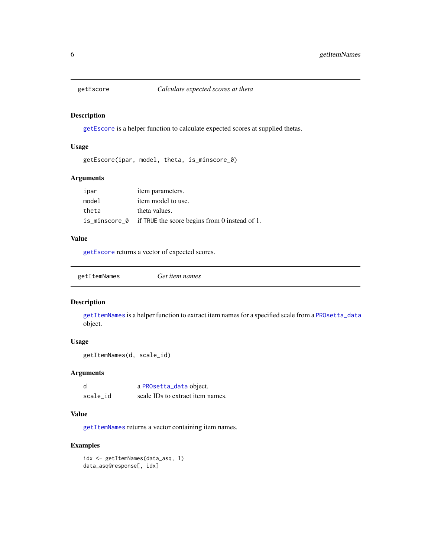<span id="page-5-1"></span><span id="page-5-0"></span>

[getEscore](#page-5-1) is a helper function to calculate expected scores at supplied thetas.

#### Usage

```
getEscore(ipar, model, theta, is_minscore_0)
```
# Arguments

| ipar  | item parameters.                                            |
|-------|-------------------------------------------------------------|
| model | item model to use.                                          |
| theta | theta values.                                               |
|       | is_minscore_0 if TRUE the score begins from 0 instead of 1. |

#### Value

[getEscore](#page-5-1) returns a vector of expected scores.

<span id="page-5-2"></span>

|  | Get item names | getItemNames |
|--|----------------|--------------|
|--|----------------|--------------|

# Description

[getItemNames](#page-5-2) is a helper function to extract item names for a specified scale from a [PROsetta\\_data](#page-8-1) object.

# Usage

```
getItemNames(d, scale_id)
```
#### Arguments

| d        | a PROsetta_data object.          |
|----------|----------------------------------|
| scale_id | scale IDs to extract item names. |

#### Value

[getItemNames](#page-5-2) returns a vector containing item names.

# Examples

```
idx <- getItemNames(data_asq, 1)
data_asq@response[, idx]
```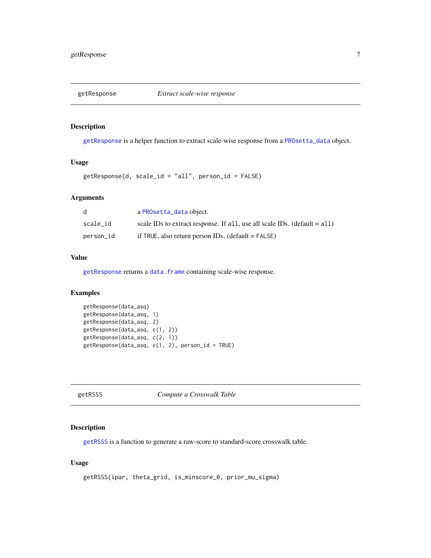<span id="page-6-1"></span><span id="page-6-0"></span>

[getResponse](#page-6-1) is a helper function to extract scale-wise response from a [PROsetta\\_data](#page-8-1) object.

#### Usage

getResponse(d, scale\_id = "all", person\_id = FALSE)

# Arguments

| d         | a PROsetta_data object.                                                     |
|-----------|-----------------------------------------------------------------------------|
| scale id  | scale IDs to extract response. If all, use all scale IDs. (default $=$ all) |
| person_id | if TRUE, also return person IDs. (default $=$ FALSE)                        |

# Value

[getResponse](#page-6-1) returns a [data.frame](#page-0-0) containing scale-wise response.

# Examples

```
getResponse(data_asq)
getResponse(data_asq, 1)
getResponse(data_asq, 2)
getResponse(data_asq, c(1, 2))
getResponse(data_asq, c(2, 1))
getResponse(data_asq, c(1, 2), person_id = TRUE)
```
<span id="page-6-2"></span>getRSSS *Compute a Crosswalk Table*

#### Description

[getRSSS](#page-6-2) is a function to generate a raw-score to standard-score crosswalk table.

# Usage

```
getRSSS(ipar, theta_grid, is_minscore_0, prior_mu_sigma)
```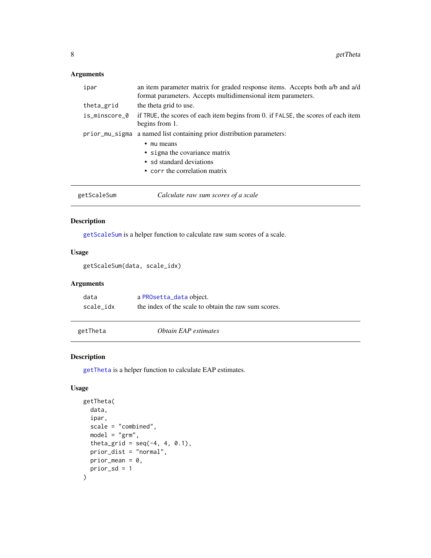# <span id="page-7-0"></span>Arguments

| ipar           | an item parameter matrix for graded response items. Accepts both a/b and a/d<br>format parameters. Accepts multidimensional item parameters. |
|----------------|----------------------------------------------------------------------------------------------------------------------------------------------|
| theta_grid     | the theta grid to use.                                                                                                                       |
| is_minscore_0  | if TRUE, the scores of each item begins from 0. if FALSE, the scores of each item<br>begins from 1.                                          |
| prior_mu_sigma | a named list containing prior distribution parameters:<br>mu means<br>• sigma the covariance matrix<br>• sd standard deviations              |
| getScaleSum    | • corr the correlation matrix<br>Calculate raw sum scores of a scale                                                                         |

#### <span id="page-7-1"></span>Description

[getScaleSum](#page-7-1) is a helper function to calculate raw sum scores of a scale.

# Usage

```
getScaleSum(data, scale_idx)
```
#### Arguments

| data      | a PROsetta_data object.                              |
|-----------|------------------------------------------------------|
| scale idx | the index of the scale to obtain the raw sum scores. |

<span id="page-7-2"></span>getTheta *Obtain EAP estimates*

#### Description

[getTheta](#page-7-2) is a helper function to calculate EAP estimates.

# Usage

```
getTheta(
 data,
  ipar,
  scale = "combined",
 model = "grm",theta_grid = seq(-4, 4, 0.1),
 prior_dist = "normal",
 prior_mean = 0,prior_sd = 1
\mathcal{L}
```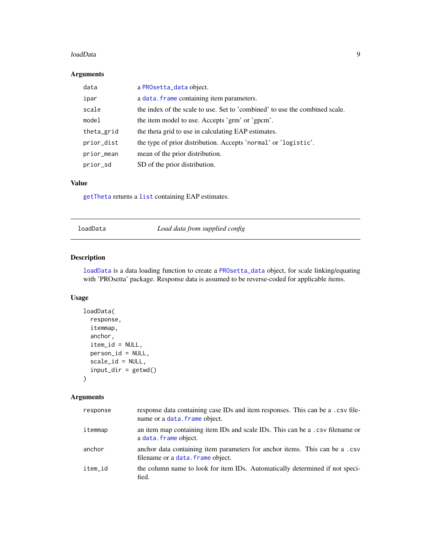#### <span id="page-8-0"></span>loadData 9

# Arguments

| data       | a PROsetta_data object.                                                     |
|------------|-----------------------------------------------------------------------------|
| ipar       | a data. frame containing item parameters.                                   |
| scale      | the index of the scale to use. Set to 'combined' to use the combined scale. |
| model      | the item model to use. Accepts 'grm' or 'gpcm'.                             |
| theta_grid | the theta grid to use in calculating EAP estimates.                         |
| prior_dist | the type of prior distribution. Accepts 'normal' or 'logistic'.             |
| prior_mean | mean of the prior distribution.                                             |
| prior_sd   | SD of the prior distribution.                                               |

# Value

[getTheta](#page-7-2) returns a [list](#page-0-0) containing EAP estimates.

<span id="page-8-2"></span>loadData *Load data from supplied config*

# <span id="page-8-1"></span>Description

[loadData](#page-8-2) is a data loading function to create a [PROsetta\\_data](#page-8-1) object, for scale linking/equating with 'PROsetta' package. Response data is assumed to be reverse-coded for applicable items.

# Usage

```
loadData(
  response,
  itemmap,
  anchor,
  item_id = NULL,
 person_id = NULL,
  scale_id = NULL,
  input\_dir = getwd())
```
# Arguments

| response | response data containing case IDs and item responses. This can be a .csv file-<br>name or a data. frame object.  |
|----------|------------------------------------------------------------------------------------------------------------------|
| itemmap  | an item map containing item IDs and scale IDs. This can be a .csv filename or<br>a data. frame object.           |
| anchor   | anchor data containing item parameters for anchor items. This can be a .csv<br>filename or a data. frame object. |
| item id  | the column name to look for item IDs. Automatically determined if not speci-<br>fied.                            |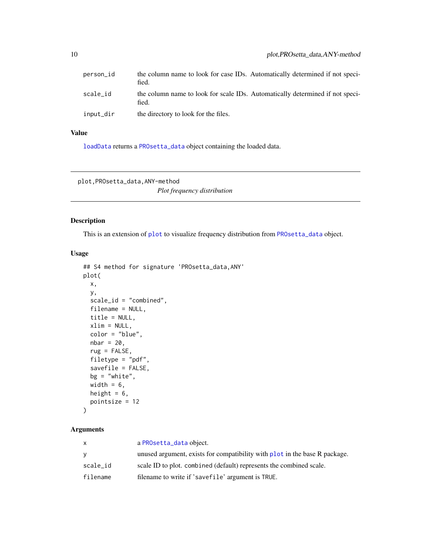<span id="page-9-0"></span>

| person_id | the column name to look for case IDs. Automatically determined if not speci-<br>fied.  |
|-----------|----------------------------------------------------------------------------------------|
| scale_id  | the column name to look for scale IDs. Automatically determined if not speci-<br>fied. |
| input_dir | the directory to look for the files.                                                   |

# Value

[loadData](#page-8-2) returns a [PROsetta\\_data](#page-8-1) object containing the loaded data.

plot,PROsetta\_data,ANY-method

*Plot frequency distribution*

# Description

This is an extension of [plot](#page-0-0) to visualize frequency distribution from [PROsetta\\_data](#page-8-1) object.

#### Usage

```
## S4 method for signature 'PROsetta_data,ANY'
plot(
 x,
 y,
  scale_id = "combined",
 filename = NULL,
 title = NULL,
 xlim = NULL,color = "blue",
 nbar = 20,
 rug = FALSE,filetype = "pdf",
  savefile = FALSE,
 bg = "white",width = 6,
 height = 6,
 pointsize = 12
)
```
# Arguments

| x        | a PROsetta_data object.                                                    |
|----------|----------------------------------------------------------------------------|
| v        | unused argument, exists for compatibility with plot in the base R package. |
| scale_id | scale ID to plot. combined (default) represents the combined scale.        |
| filename | filename to write if 'savefile' argument is TRUE.                          |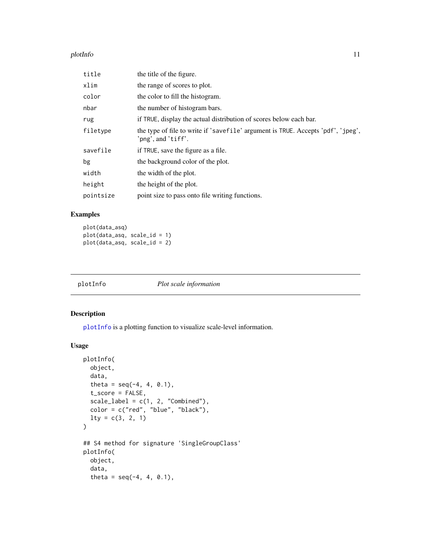#### <span id="page-10-0"></span>plotInfo that the contract of the contract of the contract of the contract of the contract of the contract of the contract of the contract of the contract of the contract of the contract of the contract of the contract of

| title     | the title of the figure.                                                                               |
|-----------|--------------------------------------------------------------------------------------------------------|
| xlim      | the range of scores to plot.                                                                           |
| color     | the color to fill the histogram.                                                                       |
| nbar      | the number of histogram bars.                                                                          |
| rug       | if TRUE, display the actual distribution of scores below each bar.                                     |
| filetype  | the type of file to write if 'savefile' argument is TRUE. Accepts 'pdf', 'jpeg',<br>'png', and 'tiff'. |
| savefile  | if TRUE, save the figure as a file.                                                                    |
| bg        | the background color of the plot.                                                                      |
| width     | the width of the plot.                                                                                 |
| height    | the height of the plot.                                                                                |
| pointsize | point size to pass onto file writing functions.                                                        |

# Examples

```
plot(data_asq)
plot(data_asq, scale_id = 1)
plot(data_asq, scale_id = 2)
```
<span id="page-10-1"></span>

| plotInfo | Plot scale information |
|----------|------------------------|
|----------|------------------------|

# Description

[plotInfo](#page-10-1) is a plotting function to visualize scale-level information.

# Usage

```
plotInfo(
 object,
  data,
  theta = seq(-4, 4, 0.1),
  t_score = FALSE,
  scale_label = c(1, 2, "Combined"),
  color = c("red", "blue", "black"),
  lty = c(3, 2, 1)\mathcal{L}## S4 method for signature 'SingleGroupClass'
plotInfo(
 object,
  data,
  theta = seq(-4, 4, 0.1),
```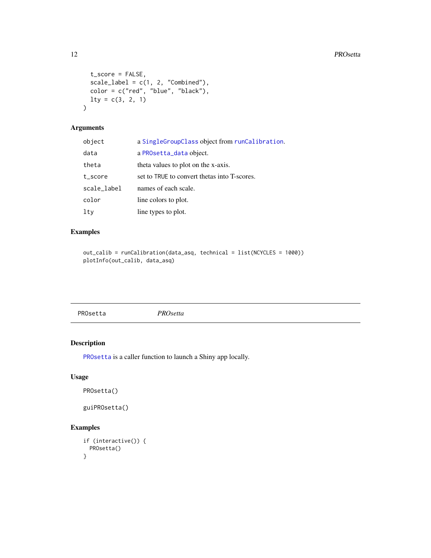```
t_score = FALSE,
 scale\_label = c(1, 2, "Combined"),color = c("red", "blue", "black"),lty = c(3, 2, 1))
```
# Arguments

| object      | a SingleGroupClass object from runCalibration. |
|-------------|------------------------------------------------|
| data        | a PROsetta_data object.                        |
| theta       | theta values to plot on the x-axis.            |
| t_score     | set to TRUE to convert thetas into T-scores.   |
| scale_label | names of each scale.                           |
| color       | line colors to plot.                           |
| lty         | line types to plot.                            |

# Examples

```
out_calib = runCalibration(data_asq, technical = list(NCYCLES = 1000))
plotInfo(out_calib, data_asq)
```
<span id="page-11-1"></span>

# Description

[PROsetta](#page-11-1) is a caller function to launch a Shiny app locally.

# Usage

```
PROsetta()
```
guiPROsetta()

# Examples

```
if (interactive()) {
 PROsetta()
}
```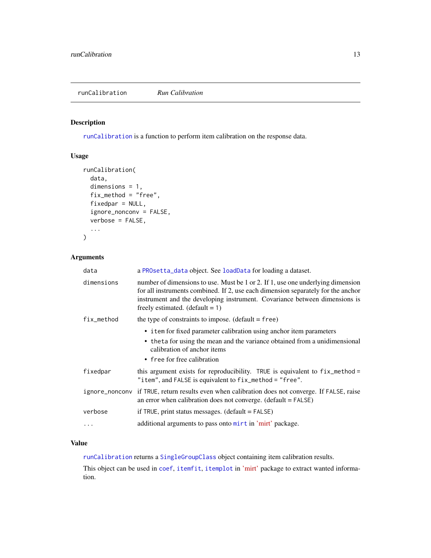<span id="page-12-1"></span><span id="page-12-0"></span>[runCalibration](#page-12-1) is a function to perform item calibration on the response data.

# Usage

```
runCalibration(
  data,
  dimensions = 1,
  fix_method = "free",
  fixedpar = NULL,
  ignore_nonconv = FALSE,
  verbose = FALSE,
  ...
\mathcal{L}
```
# Arguments

| data           | a PROsetta_data object. See loadData for loading a dataset.                                                                                                                                                                                                                            |
|----------------|----------------------------------------------------------------------------------------------------------------------------------------------------------------------------------------------------------------------------------------------------------------------------------------|
| dimensions     | number of dimensions to use. Must be 1 or 2. If 1, use one underlying dimension<br>for all instruments combined. If 2, use each dimension separately for the anchor<br>instrument and the developing instrument. Covariance between dimensions is<br>freely estimated. $(default = 1)$ |
| fix_method     | the type of constraints to impose. $(detault = free)$                                                                                                                                                                                                                                  |
|                | • item for fixed parameter calibration using anchor item parameters                                                                                                                                                                                                                    |
|                | • theta for using the mean and the variance obtained from a unidimensional<br>calibration of anchor items                                                                                                                                                                              |
|                | • free for free calibration                                                                                                                                                                                                                                                            |
| fixedpar       | this argument exists for reproducibility. TRUE is equivalent to fix_method =<br>"item", and FALSE is equivalent to fix_method = "free".                                                                                                                                                |
| ignore_nonconv | if TRUE, return results even when calibration does not converge. If FALSE, raise<br>an error when calibration does not converge. $(detault = FALSE)$                                                                                                                                   |
| verbose        | if TRUE, print status messages. $(detault = FALSE)$                                                                                                                                                                                                                                    |
| $\ddots$       | additional arguments to pass onto mirt in 'mirt' package.                                                                                                                                                                                                                              |

#### Value

[runCalibration](#page-12-1) returns a [SingleGroupClass](#page-0-0) object containing item calibration results.

This object can be used in [coef](#page-0-0), [itemfit](#page-0-0), [itemplot](#page-0-0) in ['mirt'](https://CRAN.R-project.org/package=mirt) package to extract wanted information.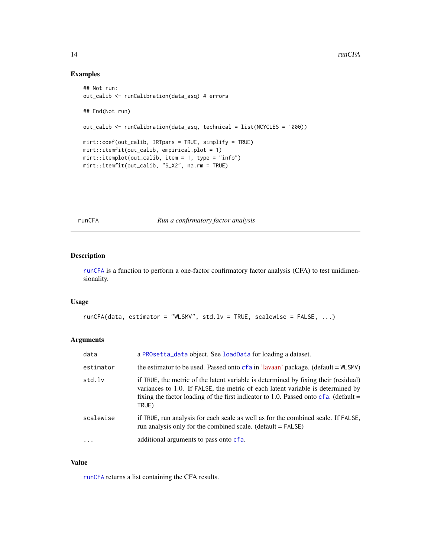```
## Not run:
out_calib <- runCalibration(data_asq) # errors
## End(Not run)
out_calib <- runCalibration(data_asq, technical = list(NCYCLES = 1000))
mirt::coef(out_calib, IRTpars = TRUE, simplify = TRUE)
mirt::itemfit(out_calib, empirical.plot = 1)
mirt::itemplot(out\_calib, item = 1, type = "info")mirt::itemfit(out_calib, "S_X2", na.rm = TRUE)
```
<span id="page-13-1"></span>runCFA *Run a confirmatory factor analysis*

# Description

[runCFA](#page-13-1) is a function to perform a one-factor confirmatory factor analysis (CFA) to test unidimensionality.

# Usage

```
runCFA(data, estimator = "WLSMV", std.lv = TRUE, scalewise = FALSE, ...)
```
#### Arguments

| data       | a PROsetta_data object. See loadData for loading a dataset.                                                                                                                                                                                                                |
|------------|----------------------------------------------------------------------------------------------------------------------------------------------------------------------------------------------------------------------------------------------------------------------------|
| estimator  | the estimator to be used. Passed onto $cf$ a in 'lavaan' package. (default = $WLSMV$ )                                                                                                                                                                                     |
| std.lv     | if TRUE, the metric of the latent variable is determined by fixing their (residual)<br>variances to 1.0. If FALSE, the metric of each latent variable is determined by<br>fixing the factor loading of the first indicator to 1.0. Passed onto $cf$ a. (default =<br>TRUE) |
| scalewise  | if TRUE, run analysis for each scale as well as for the combined scale. If FALSE,<br>run analysis only for the combined scale. $(default = FALSE)$                                                                                                                         |
| $\ddots$ . | additional arguments to pass onto cfa.                                                                                                                                                                                                                                     |

# Value

[runCFA](#page-13-1) returns a list containing the CFA results.

<span id="page-13-0"></span>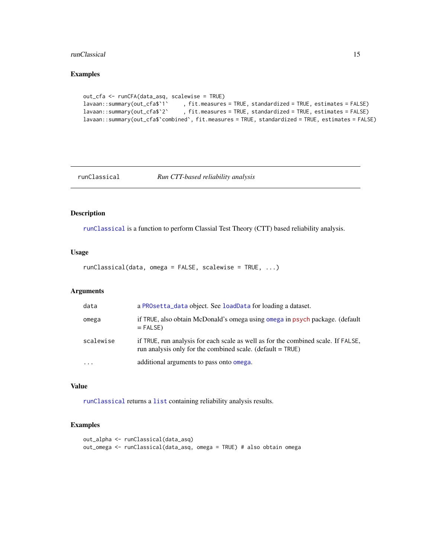#### <span id="page-14-0"></span>runClassical 15

# Examples

```
out_cfa <- runCFA(data_asq, scalewise = TRUE)
lavaan::summary(out_cfa$`1` , fit.measures = TRUE, standardized = TRUE, estimates = FALSE)
lavaan::summary(out_cfa$`2` , fit.measures = TRUE, standardized = TRUE, estimates = FALSE)
lavaan::summary(out_cfa$`combined`, fit.measures = TRUE, standardized = TRUE, estimates = FALSE)
```
<span id="page-14-1"></span>runClassical *Run CTT-based reliability analysis*

# Description

[runClassical](#page-14-1) is a function to perform Classial Test Theory (CTT) based reliability analysis.

#### Usage

runClassical(data, omega = FALSE, scalewise = TRUE, ...)

# Arguments

| data      | a PROsetta_data object. See loadData for loading a dataset.                                                                                       |
|-----------|---------------------------------------------------------------------------------------------------------------------------------------------------|
| omega     | if TRUE, also obtain McDonald's omega using omega in psych package. (default<br>$=$ FALSE)                                                        |
| scalewise | if TRUE, run analysis for each scale as well as for the combined scale. If FALSE,<br>run analysis only for the combined scale. (default $=$ TRUE) |
| $\cdot$   | additional arguments to pass onto omega.                                                                                                          |

# Value

[runClassical](#page-14-1) returns a [list](#page-0-0) containing reliability analysis results.

# Examples

```
out_alpha <- runClassical(data_asq)
out_omega <- runClassical(data_asq, omega = TRUE) # also obtain omega
```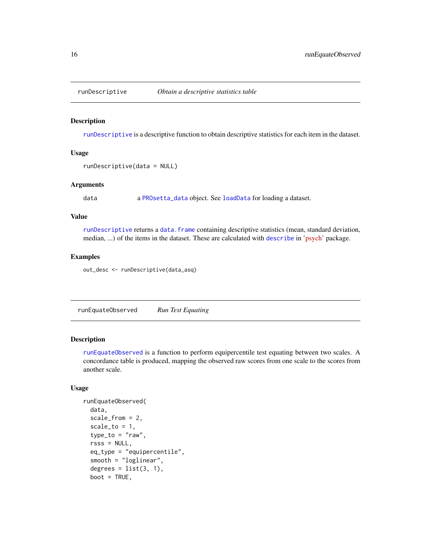<span id="page-15-1"></span><span id="page-15-0"></span>

[runDescriptive](#page-15-1) is a descriptive function to obtain descriptive statistics for each item in the dataset.

#### Usage

```
runDescriptive(data = NULL)
```
#### Arguments

data a [PROsetta\\_data](#page-8-1) object. See [loadData](#page-8-2) for loading a dataset.

#### Value

[runDescriptive](#page-15-1) returns a [data.frame](#page-0-0) containing descriptive statistics (mean, standard deviation, median, ...) of the items in the dataset. These are calculated with [describe](#page-0-0) in ['psych'](https://CRAN.R-project.org/package=psych) package.

#### Examples

out\_desc <- runDescriptive(data\_asq)

<span id="page-15-2"></span>runEquateObserved *Run Test Equating*

#### Description

[runEquateObserved](#page-15-2) is a function to perform equipercentile test equating between two scales. A concordance table is produced, mapping the observed raw scores from one scale to the scores from another scale.

#### Usage

```
runEquateObserved(
  data,
  scale_from = 2,
  scale_to = 1,type_to = "raw".rsss = NULL,
  eq_type = "equipercentile",
  smooth = "loglinear",
  degrees = list(3, 1),
 boot = TRUE,
```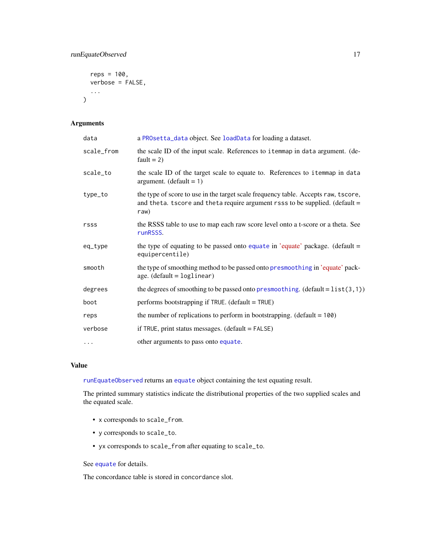# <span id="page-16-0"></span>runEquateObserved 17

```
reps = 100,
  verbose = FALSE,
  ...
\mathcal{L}
```
# Arguments

| data       | a PROsetta_data object. See loadData for loading a dataset.                                                                                                                |
|------------|----------------------------------------------------------------------------------------------------------------------------------------------------------------------------|
| scale_from | the scale ID of the input scale. References to itemmap in data argument. (de-<br>$fault = 2)$                                                                              |
| scale_to   | the scale ID of the target scale to equate to. References to itemmap in data<br>argument. (default = $1$ )                                                                 |
| type_to    | the type of score to use in the target scale frequency table. Accepts raw, tscore,<br>and theta. tscore and theta require argument rsss to be supplied. (default =<br>raw) |
| rsss       | the RSSS table to use to map each raw score level onto a t-score or a theta. See<br>runRSSS.                                                                               |
| eq_type    | the type of equating to be passed onto equate in 'equate' package. (default =<br>equipercentile)                                                                           |
| smooth     | the type of smoothing method to be passed onto presmoothing in 'equate' pack-<br>age. $(default = loglinear)$                                                              |
| degrees    | the degrees of smoothing to be passed onto presmoothing. (default = $list(3,1)$ )                                                                                          |
| boot       | performs bootstrapping if TRUE. (default = TRUE)                                                                                                                           |
| reps       | the number of replications to perform in bootstrapping. (default $= 100$ )                                                                                                 |
| verbose    | if TRUE, print status messages. $(detault = FALSE)$                                                                                                                        |
| $\cdots$   | other arguments to pass onto equate.                                                                                                                                       |

# Value

[runEquateObserved](#page-15-2) returns an [equate](#page-0-0) object containing the test equating result.

The printed summary statistics indicate the distributional properties of the two supplied scales and the equated scale.

- x corresponds to scale\_from.
- y corresponds to scale\_to.
- yx corresponds to scale\_from after equating to scale\_to.

See [equate](#page-0-0) for details.

The concordance table is stored in concordance slot.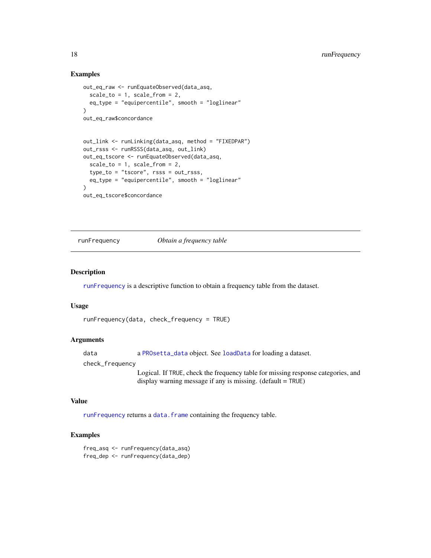```
out_eq_raw <- runEquateObserved(data_asq,
  scale_to = 1, scale_from = 2,
  eq_type = "equipercentile", smooth = "loglinear"
\lambdaout_eq_raw$concordance
out_link <- runLinking(data_asq, method = "FIXEDPAR")
out_rsss <- runRSSS(data_asq, out_link)
out_eq_tscore <- runEquateObserved(data_asq,
  scale_to = 1, scale_from = 2,type_to = "tscore", rsss = out_rsss,
  eq_type = "equipercentile", smooth = "loglinear"
\lambdaout_eq_tscore$concordance
```
<span id="page-17-1"></span>runFrequency *Obtain a frequency table*

#### Description

[runFrequency](#page-17-1) is a descriptive function to obtain a frequency table from the dataset.

#### Usage

```
runFrequency(data, check_frequency = TRUE)
```
#### Arguments

data a [PROsetta\\_data](#page-8-1) object. See [loadData](#page-8-2) for loading a dataset.

check\_frequency

Logical. If TRUE, check the frequency table for missing response categories, and display warning message if any is missing. (default = TRUE)

#### Value

[runFrequency](#page-17-1) returns a [data.frame](#page-0-0) containing the frequency table.

#### Examples

freq\_asq <- runFrequency(data\_asq) freq\_dep <- runFrequency(data\_dep)

<span id="page-17-0"></span>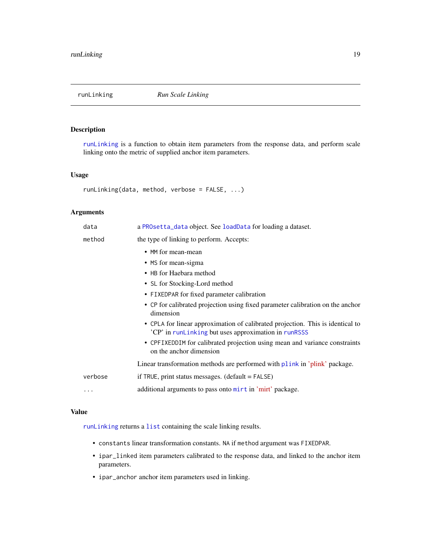<span id="page-18-1"></span><span id="page-18-0"></span>

[runLinking](#page-18-1) is a function to obtain item parameters from the response data, and perform scale linking onto the metric of supplied anchor item parameters.

#### Usage

runLinking(data, method, verbose = FALSE, ...)

# Arguments

| data     | a PROsetta_data object. See loadData for loading a dataset.                                                                            |
|----------|----------------------------------------------------------------------------------------------------------------------------------------|
| method   | the type of linking to perform. Accepts:                                                                                               |
|          | • MM for mean-mean                                                                                                                     |
|          | • MS for mean-sigma                                                                                                                    |
|          | • HB for Haebara method                                                                                                                |
|          | • SL for Stocking-Lord method                                                                                                          |
|          | • FIXEDPAR for fixed parameter calibration                                                                                             |
|          | • CP for calibrated projection using fixed parameter calibration on the anchor<br>dimension                                            |
|          | • CPLA for linear approximation of calibrated projection. This is identical to<br>'CP' in runLinking but uses approximation in runRSSS |
|          | • CPFIXEDDIM for calibrated projection using mean and variance constraints<br>on the anchor dimension                                  |
|          | Linear transformation methods are performed with plink in 'plink' package.                                                             |
| verbose  | if TRUE, print status messages. $(detault = FALSE)$                                                                                    |
| $\cdots$ | additional arguments to pass onto mirt in 'mirt' package.                                                                              |

#### Value

[runLinking](#page-18-1) returns a [list](#page-0-0) containing the scale linking results.

- constants linear transformation constants. NA if method argument was FIXEDPAR.
- ipar\_linked item parameters calibrated to the response data, and linked to the anchor item parameters.
- ipar\_anchor anchor item parameters used in linking.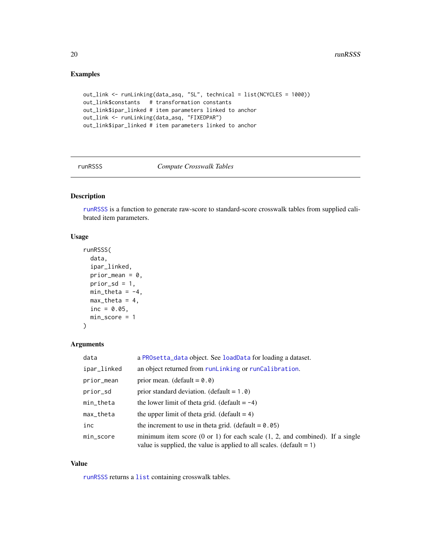```
out_link <- runLinking(data_asq, "SL", technical = list(NCYCLES = 1000))
out_link$constants # transformation constants
out_link$ipar_linked # item parameters linked to anchor
out_link <- runLinking(data_asq, "FIXEDPAR")
out_link$ipar_linked # item parameters linked to anchor
```
<span id="page-19-1"></span>runRSSS *Compute Crosswalk Tables*

# Description

[runRSSS](#page-19-1) is a function to generate raw-score to standard-score crosswalk tables from supplied calibrated item parameters.

### Usage

```
runRSSS(
  data,
  ipar_linked,
  prior_mean = 0,
  prior_sd = 1,
  min\_theta = -4,
  max_{\text{the} \, \text{the} \, \text{the}} = 4,
  inc = 0.05,
  min_score = 1
)
```
# Arguments

| data            | a PROsetta_data object. See loadData for loading a dataset.                                                                                                         |
|-----------------|---------------------------------------------------------------------------------------------------------------------------------------------------------------------|
| ipar_linked     | an object returned from runLinking or runCalibration.                                                                                                               |
| prior_mean      | prior mean. (default = $0.0$ )                                                                                                                                      |
| prior_sd        | prior standard deviation. (default = $1.0$ )                                                                                                                        |
| $min_{z}$ theta | the lower limit of theta grid. (default $= -4$ )                                                                                                                    |
| max_theta       | the upper limit of theta grid. (default $= 4$ )                                                                                                                     |
| inc             | the increment to use in theta grid. (default = $0.05$ )                                                                                                             |
| min_score       | minimum item score $(0 \text{ or } 1)$ for each scale $(1, 2,$ and combined). If a single<br>value is supplied, the value is applied to all scales. $(detault = 1)$ |

#### Value

[runRSSS](#page-19-1) returns a [list](#page-0-0) containing crosswalk tables.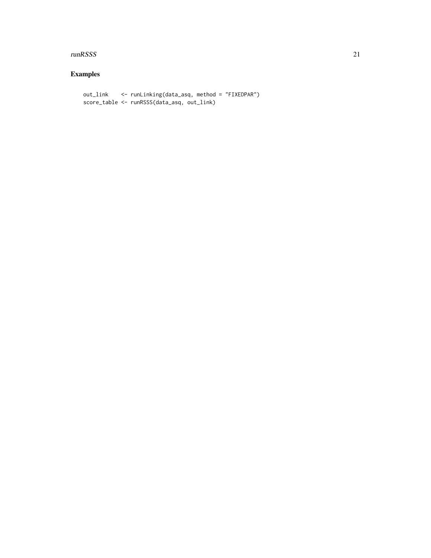#### runRSSS 21

# Examples

out\_link <- runLinking(data\_asq, method = "FIXEDPAR") score\_table <- runRSSS(data\_asq, out\_link)